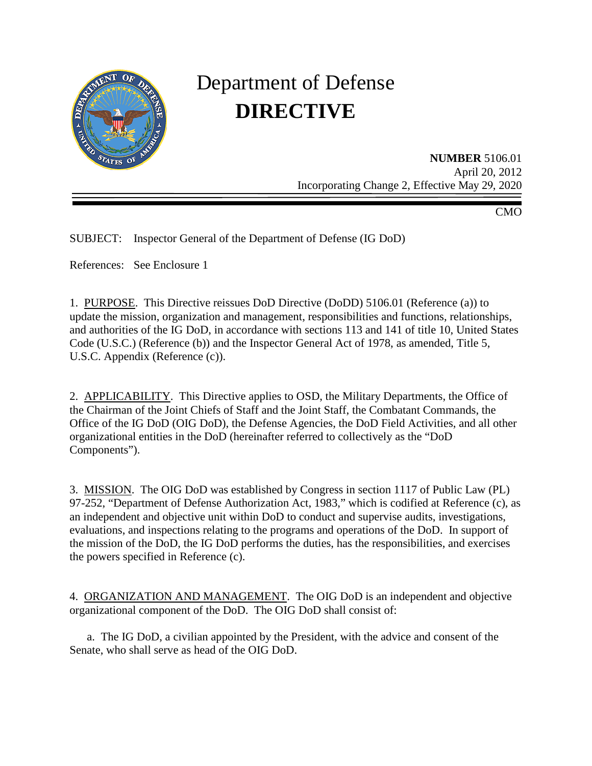

# Department of Defense **DIRECTIVE**

**NUMBER** 5106.01 April 20, 2012 Incorporating Change 2, Effective May 29, 2020

CMO

SUBJECT: Inspector General of the Department of Defense (IG DoD)

References: See Enclosure 1

1. PURPOSE. This Directive reissues DoD Directive (DoDD) 5106.01 (Reference (a)) to update the mission, organization and management, responsibilities and functions, relationships, and authorities of the IG DoD, in accordance with sections 113 and 141 of title 10, United States Code (U.S.C.) (Reference (b)) and the Inspector General Act of 1978, as amended, Title 5, U.S.C. Appendix (Reference (c)).

2. APPLICABILITY. This Directive applies to OSD, the Military Departments, the Office of the Chairman of the Joint Chiefs of Staff and the Joint Staff, the Combatant Commands, the Office of the IG DoD (OIG DoD), the Defense Agencies, the DoD Field Activities, and all other organizational entities in the DoD (hereinafter referred to collectively as the "DoD Components").

3. MISSION. The OIG DoD was established by Congress in section 1117 of Public Law (PL) 97-252, "Department of Defense Authorization Act, 1983," which is codified at Reference (c), as an independent and objective unit within DoD to conduct and supervise audits, investigations, evaluations, and inspections relating to the programs and operations of the DoD. In support of the mission of the DoD, the IG DoD performs the duties, has the responsibilities, and exercises the powers specified in Reference (c).

4. ORGANIZATION AND MANAGEMENT. The OIG DoD is an independent and objective organizational component of the DoD. The OIG DoD shall consist of:

a. The IG DoD, a civilian appointed by the President, with the advice and consent of the Senate, who shall serve as head of the OIG DoD.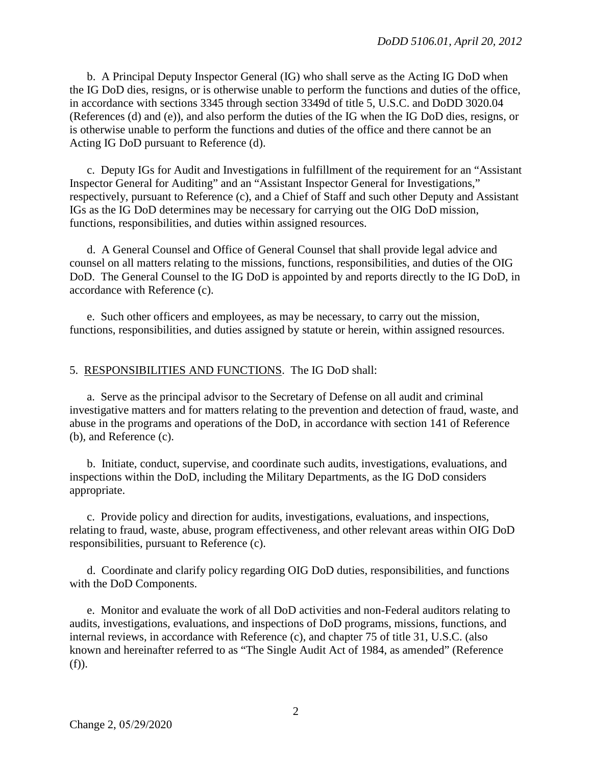b. A Principal Deputy Inspector General (IG) who shall serve as the Acting IG DoD when the IG DoD dies, resigns, or is otherwise unable to perform the functions and duties of the office, in accordance with sections 3345 through section 3349d of title 5, U.S.C. and DoDD 3020.04 (References (d) and (e)), and also perform the duties of the IG when the IG DoD dies, resigns, or is otherwise unable to perform the functions and duties of the office and there cannot be an Acting IG DoD pursuant to Reference (d).

c. Deputy IGs for Audit and Investigations in fulfillment of the requirement for an "Assistant Inspector General for Auditing" and an "Assistant Inspector General for Investigations," respectively, pursuant to Reference (c), and a Chief of Staff and such other Deputy and Assistant IGs as the IG DoD determines may be necessary for carrying out the OIG DoD mission, functions, responsibilities, and duties within assigned resources.

d. A General Counsel and Office of General Counsel that shall provide legal advice and counsel on all matters relating to the missions, functions, responsibilities, and duties of the OIG DoD. The General Counsel to the IG DoD is appointed by and reports directly to the IG DoD, in accordance with Reference (c).

e. Such other officers and employees, as may be necessary, to carry out the mission, functions, responsibilities, and duties assigned by statute or herein, within assigned resources.

## 5. RESPONSIBILITIES AND FUNCTIONS. The IG DoD shall:

a. Serve as the principal advisor to the Secretary of Defense on all audit and criminal investigative matters and for matters relating to the prevention and detection of fraud, waste, and abuse in the programs and operations of the DoD, in accordance with section 141 of Reference (b)*,* and Reference (c).

b. Initiate, conduct, supervise, and coordinate such audits, investigations, evaluations, and inspections within the DoD, including the Military Departments, as the IG DoD considers appropriate.

c. Provide policy and direction for audits, investigations, evaluations, and inspections, relating to fraud, waste, abuse, program effectiveness, and other relevant areas within OIG DoD responsibilities, pursuant to Reference (c).

d. Coordinate and clarify policy regarding OIG DoD duties, responsibilities, and functions with the DoD Components.

e. Monitor and evaluate the work of all DoD activities and non-Federal auditors relating to audits, investigations, evaluations, and inspections of DoD programs, missions, functions, and internal reviews, in accordance with Reference (c), and chapter 75 of title 31, U.S.C. (also known and hereinafter referred to as "The Single Audit Act of 1984, as amended" (Reference (f)).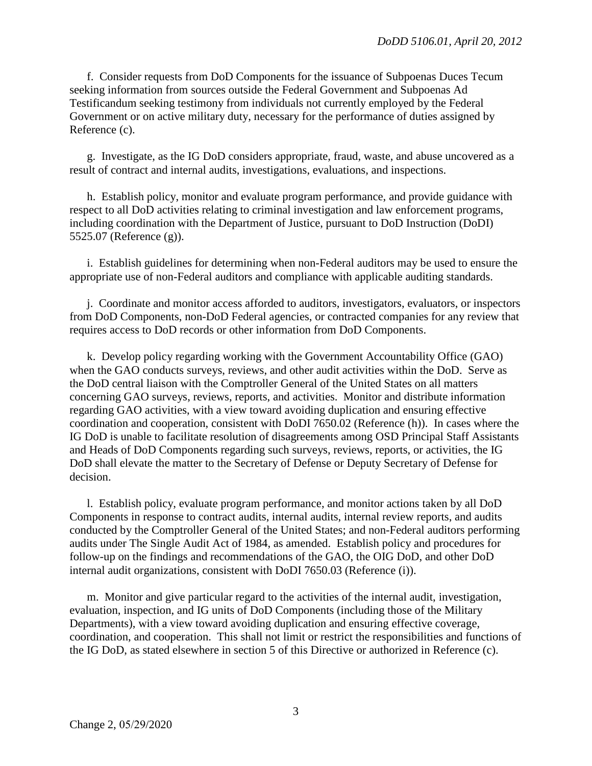f. Consider requests from DoD Components for the issuance of Subpoenas Duces Tecum seeking information from sources outside the Federal Government and Subpoenas Ad Testificandum seeking testimony from individuals not currently employed by the Federal Government or on active military duty, necessary for the performance of duties assigned by Reference (c).

g. Investigate, as the IG DoD considers appropriate, fraud, waste, and abuse uncovered as a result of contract and internal audits, investigations, evaluations, and inspections.

h. Establish policy, monitor and evaluate program performance, and provide guidance with respect to all DoD activities relating to criminal investigation and law enforcement programs, including coordination with the Department of Justice, pursuant to DoD Instruction (DoDI) 5525.07 (Reference (g)).

i. Establish guidelines for determining when non-Federal auditors may be used to ensure the appropriate use of non-Federal auditors and compliance with applicable auditing standards.

j. Coordinate and monitor access afforded to auditors, investigators, evaluators, or inspectors from DoD Components, non-DoD Federal agencies, or contracted companies for any review that requires access to DoD records or other information from DoD Components.

k. Develop policy regarding working with the Government Accountability Office (GAO) when the GAO conducts surveys, reviews, and other audit activities within the DoD. Serve as the DoD central liaison with the Comptroller General of the United States on all matters concerning GAO surveys, reviews, reports, and activities. Monitor and distribute information regarding GAO activities, with a view toward avoiding duplication and ensuring effective coordination and cooperation, consistent with DoDI 7650.02 (Reference (h)). In cases where the IG DoD is unable to facilitate resolution of disagreements among OSD Principal Staff Assistants and Heads of DoD Components regarding such surveys, reviews, reports, or activities, the IG DoD shall elevate the matter to the Secretary of Defense or Deputy Secretary of Defense for decision.

l. Establish policy, evaluate program performance, and monitor actions taken by all DoD Components in response to contract audits, internal audits, internal review reports, and audits conducted by the Comptroller General of the United States; and non-Federal auditors performing audits under The Single Audit Act of 1984, as amended. Establish policy and procedures for follow-up on the findings and recommendations of the GAO, the OIG DoD, and other DoD internal audit organizations, consistent with DoDI 7650.03 (Reference (i)).

m. Monitor and give particular regard to the activities of the internal audit, investigation, evaluation, inspection, and IG units of DoD Components (including those of the Military Departments), with a view toward avoiding duplication and ensuring effective coverage, coordination, and cooperation. This shall not limit or restrict the responsibilities and functions of the IG DoD, as stated elsewhere in section 5 of this Directive or authorized in Reference (c).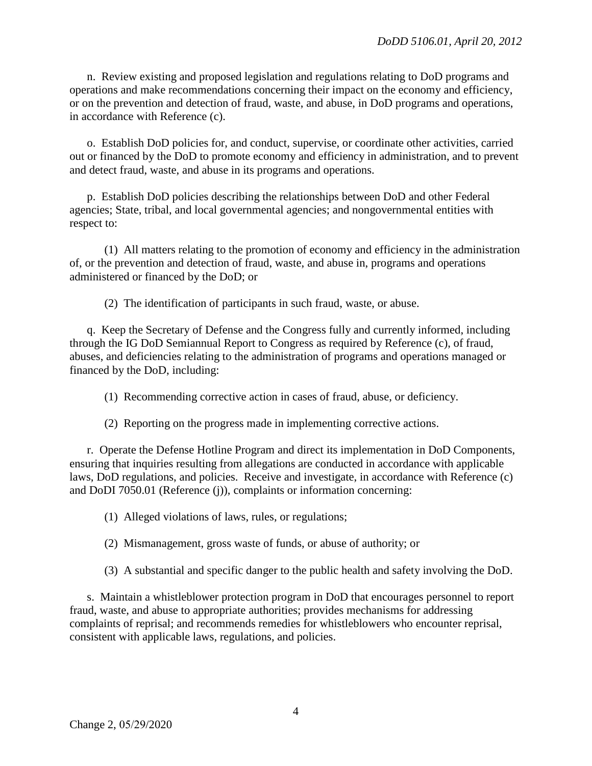n. Review existing and proposed legislation and regulations relating to DoD programs and operations and make recommendations concerning their impact on the economy and efficiency, or on the prevention and detection of fraud, waste, and abuse, in DoD programs and operations, in accordance with Reference (c).

o. Establish DoD policies for, and conduct, supervise, or coordinate other activities, carried out or financed by the DoD to promote economy and efficiency in administration, and to prevent and detect fraud, waste, and abuse in its programs and operations.

p. Establish DoD policies describing the relationships between DoD and other Federal agencies; State, tribal, and local governmental agencies; and nongovernmental entities with respect to:

(1) All matters relating to the promotion of economy and efficiency in the administration of, or the prevention and detection of fraud, waste, and abuse in, programs and operations administered or financed by the DoD; or

(2) The identification of participants in such fraud, waste, or abuse.

q. Keep the Secretary of Defense and the Congress fully and currently informed, including through the IG DoD Semiannual Report to Congress as required by Reference (c), of fraud, abuses, and deficiencies relating to the administration of programs and operations managed or financed by the DoD, including:

(1) Recommending corrective action in cases of fraud, abuse, or deficiency.

(2) Reporting on the progress made in implementing corrective actions.

r. Operate the Defense Hotline Program and direct its implementation in DoD Components, ensuring that inquiries resulting from allegations are conducted in accordance with applicable laws, DoD regulations, and policies. Receive and investigate, in accordance with Reference (c) and DoDI 7050.01 (Reference (j)), complaints or information concerning:

(1) Alleged violations of laws, rules, or regulations;

(2) Mismanagement, gross waste of funds, or abuse of authority; or

(3) A substantial and specific danger to the public health and safety involving the DoD.

s. Maintain a whistleblower protection program in DoD that encourages personnel to report fraud, waste, and abuse to appropriate authorities; provides mechanisms for addressing complaints of reprisal; and recommends remedies for whistleblowers who encounter reprisal, consistent with applicable laws, regulations, and policies.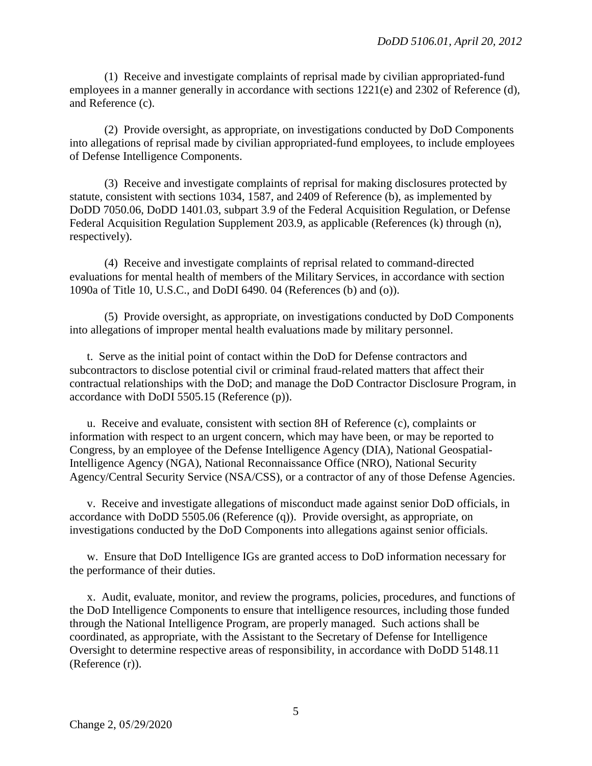(1) Receive and investigate complaints of reprisal made by civilian appropriated-fund employees in a manner generally in accordance with sections 1221(e) and 2302 of Reference (d)*,* and Reference (c).

(2) Provide oversight, as appropriate, on investigations conducted by DoD Components into allegations of reprisal made by civilian appropriated-fund employees, to include employees of Defense Intelligence Components.

(3) Receive and investigate complaints of reprisal for making disclosures protected by statute, consistent with sections 1034, 1587, and 2409 of Reference (b), as implemented by DoDD 7050.06, DoDD 1401.03, subpart 3.9 of the Federal Acquisition Regulation, or Defense Federal Acquisition Regulation Supplement 203.9, as applicable (References (k) through (n), respectively).

(4) Receive and investigate complaints of reprisal related to command-directed evaluations for mental health of members of the Military Services, in accordance with section 1090a of Title 10, U.S.C., and DoDI 6490. 04 (References (b) and (o)).

(5) Provide oversight, as appropriate, on investigations conducted by DoD Components into allegations of improper mental health evaluations made by military personnel.

t. Serve as the initial point of contact within the DoD for Defense contractors and subcontractors to disclose potential civil or criminal fraud-related matters that affect their contractual relationships with the DoD; and manage the DoD Contractor Disclosure Program, in accordance with DoDI 5505.15 (Reference (p)).

u. Receive and evaluate, consistent with section 8H of Reference (c), complaints or information with respect to an urgent concern, which may have been, or may be reported to Congress, by an employee of the Defense Intelligence Agency (DIA), National Geospatial-Intelligence Agency (NGA), National Reconnaissance Office (NRO), National Security Agency/Central Security Service (NSA/CSS), or a contractor of any of those Defense Agencies.

v. Receive and investigate allegations of misconduct made against senior DoD officials, in accordance with DoDD 5505.06 (Reference (q)). Provide oversight, as appropriate, on investigations conducted by the DoD Components into allegations against senior officials.

w. Ensure that DoD Intelligence IGs are granted access to DoD information necessary for the performance of their duties.

x. Audit, evaluate, monitor, and review the programs, policies, procedures, and functions of the DoD Intelligence Components to ensure that intelligence resources, including those funded through the National Intelligence Program, are properly managed. Such actions shall be coordinated, as appropriate, with the Assistant to the Secretary of Defense for Intelligence Oversight to determine respective areas of responsibility, in accordance with DoDD 5148.11 [\(Reference \(r\)\).](#page-9-0)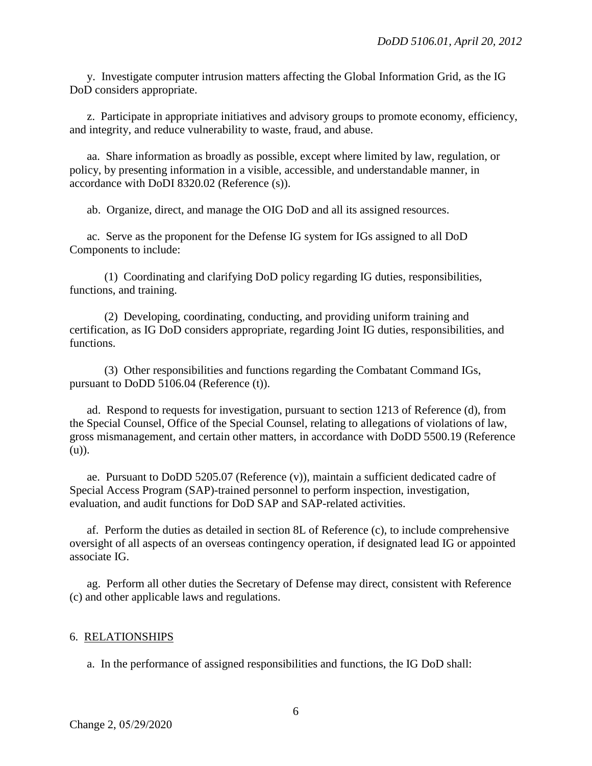y. Investigate computer intrusion matters affecting the Global Information Grid, as the IG DoD considers appropriate.

z. Participate in appropriate initiatives and advisory groups to promote economy, efficiency, and integrity, and reduce vulnerability to waste, fraud, and abuse.

aa. Share information as broadly as possible, except where limited by law, regulation, or policy, by presenting information in a visible, accessible, and understandable manner, in accordance with DoDI 8320.02 (Reference (s)).

ab. Organize, direct, and manage the OIG DoD and all its assigned resources.

ac. Serve as the proponent for the Defense IG system for IGs assigned to all DoD Components to include:

(1) Coordinating and clarifying DoD policy regarding IG duties, responsibilities, functions, and training.

(2) Developing, coordinating, conducting, and providing uniform training and certification, as IG DoD considers appropriate, regarding Joint IG duties, responsibilities, and functions.

(3) Other responsibilities and functions regarding the Combatant Command IGs, pursuant to DoDD 5106.04 (Reference (t)).

ad. Respond to requests for investigation, pursuant to section 1213 of Reference (d), from the Special Counsel, Office of the Special Counsel, relating to allegations of violations of law, gross mismanagement, and certain other matters, in accordance with DoDD 5500.19 (Reference (u)).

ae. Pursuant to DoDD 5205.07 (Reference (v)), maintain a sufficient dedicated cadre of Special Access Program (SAP)-trained personnel to perform inspection, investigation, evaluation, and audit functions for DoD SAP and SAP-related activities.

af. Perform the duties as detailed in section 8L of Reference (c), to include comprehensive oversight of all aspects of an overseas contingency operation, if designated lead IG or appointed associate IG.

ag. Perform all other duties the Secretary of Defense may direct, consistent with Reference (c) and other applicable laws and regulations.

#### 6. RELATIONSHIPS

a. In the performance of assigned responsibilities and functions, the IG DoD shall: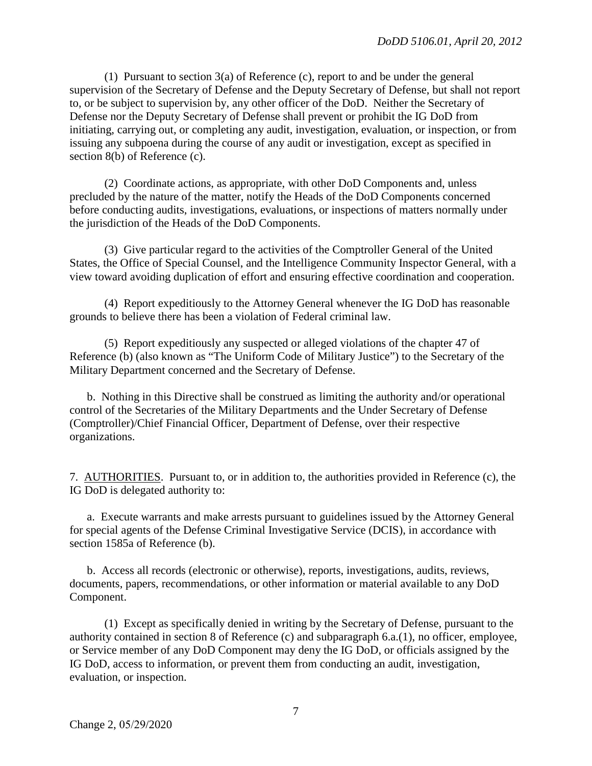(1) Pursuant to section  $3(a)$  of Reference (c), report to and be under the general supervision of the Secretary of Defense and the Deputy Secretary of Defense, but shall not report to, or be subject to supervision by, any other officer of the DoD. Neither the Secretary of Defense nor the Deputy Secretary of Defense shall prevent or prohibit the IG DoD from initiating, carrying out, or completing any audit, investigation, evaluation, or inspection, or from issuing any subpoena during the course of any audit or investigation, except as specified in section 8(b) of Reference (c).

(2) Coordinate actions, as appropriate, with other DoD Components and, unless precluded by the nature of the matter, notify the Heads of the DoD Components concerned before conducting audits, investigations, evaluations, or inspections of matters normally under the jurisdiction of the Heads of the DoD Components.

(3) Give particular regard to the activities of the Comptroller General of the United States, the Office of Special Counsel, and the Intelligence Community Inspector General, with a view toward avoiding duplication of effort and ensuring effective coordination and cooperation.

(4) Report expeditiously to the Attorney General whenever the IG DoD has reasonable grounds to believe there has been a violation of Federal criminal law.

(5) Report expeditiously any suspected or alleged violations of the chapter 47 of Reference (b) (also known as "The Uniform Code of Military Justice") to the Secretary of the Military Department concerned and the Secretary of Defense.

b. Nothing in this Directive shall be construed as limiting the authority and/or operational control of the Secretaries of the Military Departments and the Under Secretary of Defense (Comptroller)/Chief Financial Officer, Department of Defense, over their respective organizations.

7. AUTHORITIES. Pursuant to, or in addition to, the authorities provided in Reference (c), the IG DoD is delegated authority to:

a. Execute warrants and make arrests pursuant to guidelines issued by the Attorney General for special agents of the Defense Criminal Investigative Service (DCIS), in accordance with section 1585a of Reference (b).

b. Access all records (electronic or otherwise), reports, investigations, audits, reviews, documents, papers, recommendations, or other information or material available to any DoD Component.

(1) Except as specifically denied in writing by the Secretary of Defense, pursuant to the authority contained in section 8 of Reference (c) and subparagraph 6.a.(1), no officer, employee, or Service member of any DoD Component may deny the IG DoD, or officials assigned by the IG DoD, access to information, or prevent them from conducting an audit, investigation, evaluation, or inspection.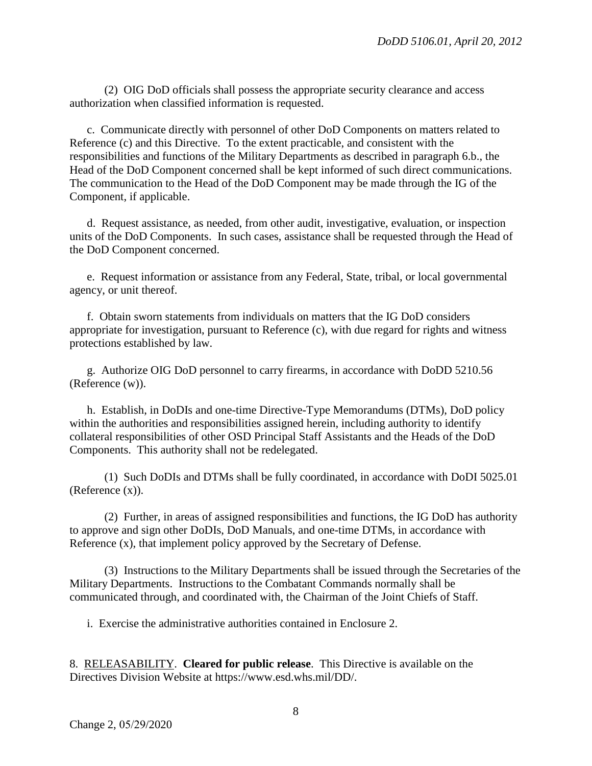(2) OIG DoD officials shall possess the appropriate security clearance and access authorization when classified information is requested.

c. Communicate directly with personnel of other DoD Components on matters related to Reference (c) and this Directive. To the extent practicable, and consistent with the responsibilities and functions of the Military Departments as described in paragraph 6.b., the Head of the DoD Component concerned shall be kept informed of such direct communications. The communication to the Head of the DoD Component may be made through the IG of the Component, if applicable.

d. Request assistance, as needed, from other audit, investigative, evaluation, or inspection units of the DoD Components. In such cases, assistance shall be requested through the Head of the DoD Component concerned.

e. Request information or assistance from any Federal, State, tribal, or local governmental agency, or unit thereof.

f. Obtain sworn statements from individuals on matters that the IG DoD considers appropriate for investigation, pursuant to Reference (c), with due regard for rights and witness protections established by law.

g. Authorize OIG DoD personnel to carry firearms, in accordance with DoDD 5210.56 (Reference (w)).

h. Establish, in DoDIs and one-time Directive-Type Memorandums (DTMs), DoD policy within the authorities and responsibilities assigned herein, including authority to identify collateral responsibilities of other OSD Principal Staff Assistants and the Heads of the DoD Components. This authority shall not be redelegated.

(1) Such DoDIs and DTMs shall be fully coordinated, in accordance with DoDI 5025.01 (Reference (x)).

(2) Further, in areas of assigned responsibilities and functions, the IG DoD has authority to approve and sign other DoDIs, DoD Manuals, and one-time DTMs, in accordance with Reference (x), that implement policy approved by the Secretary of Defense.

(3) Instructions to the Military Departments shall be issued through the Secretaries of the Military Departments. Instructions to the Combatant Commands normally shall be communicated through, and coordinated with, the Chairman of the Joint Chiefs of Staff.

i. Exercise the administrative authorities contained in Enclosure 2.

8. RELEASABILITY. **Cleared for public release**. This Directive is available on the Directives Division Website at https://www.esd.whs.mil/DD/.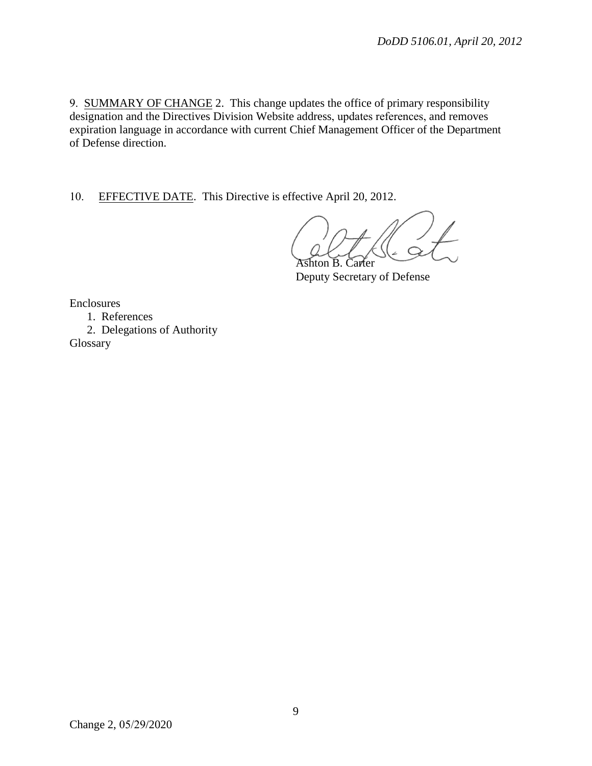9. SUMMARY OF CHANGE 2. This change updates the office of primary responsibility designation and the Directives Division Website address, updates references, and removes expiration language in accordance with current Chief Management Officer of the Department of Defense direction.

10. EFFECTIVE DATE. This Directive is effective April 20, 2012.

Ashton B. Carter

Deputy Secretary of Defense

Enclosures

1. References

2. Delegations of Authority

Glossary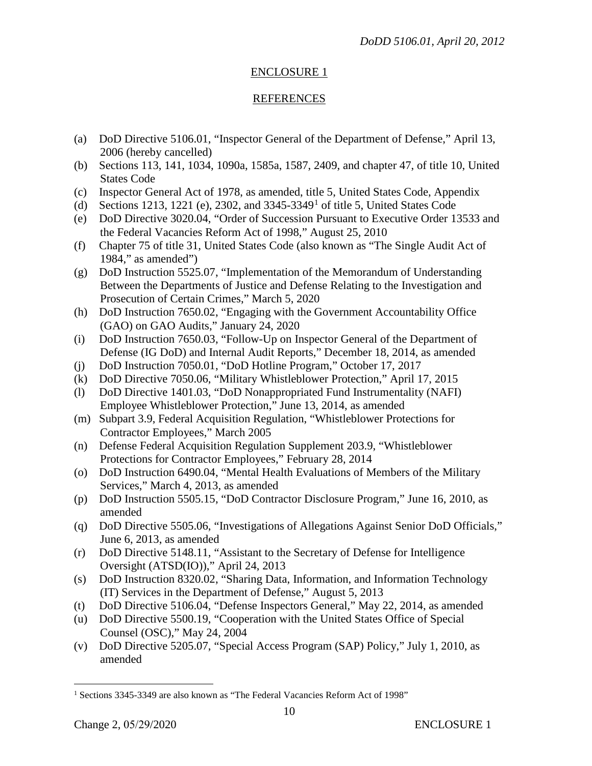# ENCLOSURE 1

## REFERENCES

- (a) DoD Directive 5106.01, "Inspector General of the Department of Defense," April 13, 2006 (hereby cancelled)
- (b) Sections 113, 141, 1034, 1090a, 1585a, 1587, 2409, and chapter 47, of title 10, United States Code
- (c) Inspector General Act of 1978, as amended, title 5, United States Code, Appendix
- (d) Sections [1](#page-9-1)213, 1221 (e), 2302, and  $3345-3349<sup>1</sup>$  of title 5, United States Code
- (e) DoD Directive 3020.04, "Order of Succession Pursuant to Executive Order 13533 and the Federal Vacancies Reform Act of 1998," August 25, 2010
- (f) Chapter 75 of title 31, United States Code (also known as "The Single Audit Act of 1984," as amended")
- (g) DoD Instruction 5525.07, "Implementation of the Memorandum of Understanding Between the Departments of Justice and Defense Relating to the Investigation and Prosecution of Certain Crimes," March 5, 2020
- (h) DoD Instruction 7650.02, "Engaging with the Government Accountability Office (GAO) on GAO Audits," January 24, 2020
- (i) DoD Instruction 7650.03, "Follow-Up on Inspector General of the Department of Defense (IG DoD) and Internal Audit Reports," December 18, 2014, as amended
- (j) DoD Instruction 7050.01, "DoD Hotline Program," October 17, 2017
- (k) DoD Directive 7050.06, "Military Whistleblower Protection," April 17, 2015
- (l) DoD Directive 1401.03, "DoD Nonappropriated Fund Instrumentality (NAFI) Employee Whistleblower Protection," June 13, 2014, as amended
- (m) Subpart 3.9, Federal Acquisition Regulation, "Whistleblower Protections for Contractor Employees," March 2005
- (n) Defense Federal Acquisition Regulation Supplement 203.9, "Whistleblower Protections for Contractor Employees," February 28, 2014
- (o) DoD Instruction 6490.04, "Mental Health Evaluations of Members of the Military Services," March 4, 2013, as amended
- (p) DoD Instruction 5505.15, "DoD Contractor Disclosure Program," June 16, 2010, as amended
- (q) DoD Directive 5505.06, "Investigations of Allegations Against Senior DoD Officials," June 6, 2013, as amended
- <span id="page-9-0"></span>(r) DoD Directive 5148.11, "Assistant to the Secretary of Defense for Intelligence Oversight (ATSD(IO))," April 24, 2013
- (s) DoD Instruction 8320.02, "Sharing Data, Information, and Information Technology (IT) Services in the Department of Defense," August 5, 2013
- (t) DoD Directive 5106.04, "Defense Inspectors General," May 22, 2014, as amended
- (u) DoD Directive 5500.19, "Cooperation with the United States Office of Special Counsel (OSC)," May 24, 2004
- (v) DoD Directive 5205.07, "Special Access Program (SAP) Policy," July 1, 2010, as amended

<span id="page-9-1"></span><sup>&</sup>lt;sup>1</sup> Sections 3345-3349 are also known as "The Federal Vacancies Reform Act of 1998"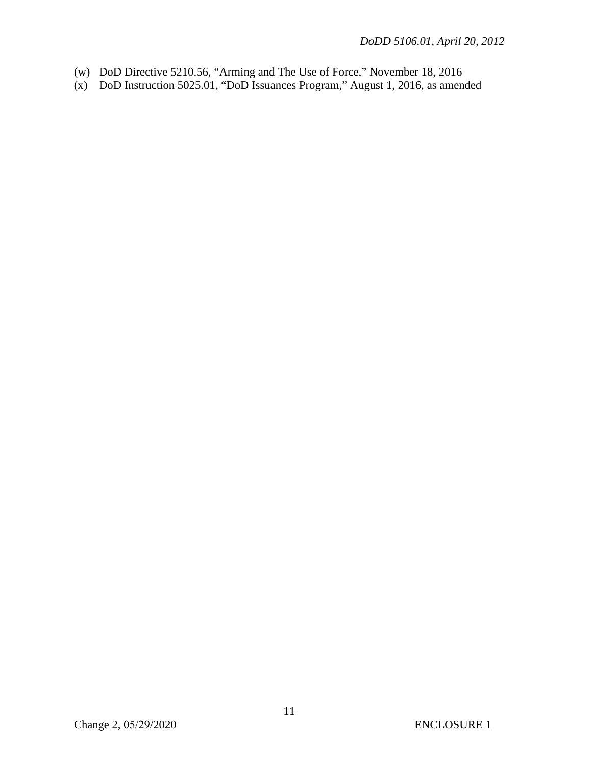- (w) DoD Directive 5210.56, "Arming and The Use of Force," November 18, 2016
- (x) DoD Instruction 5025.01, "DoD Issuances Program," August 1, 2016, as amended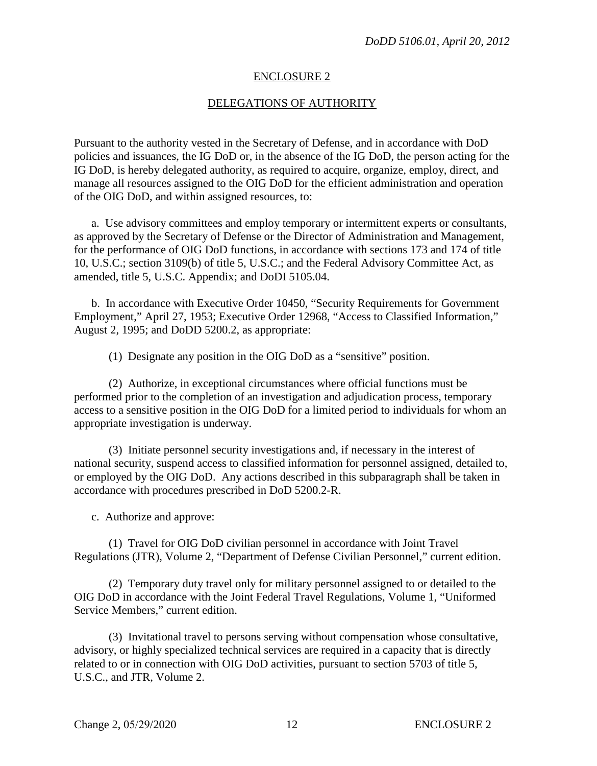## ENCLOSURE 2

## DELEGATIONS OF AUTHORITY

Pursuant to the authority vested in the Secretary of Defense, and in accordance with DoD policies and issuances, the IG DoD or, in the absence of the IG DoD, the person acting for the IG DoD, is hereby delegated authority, as required to acquire, organize, employ, direct, and manage all resources assigned to the OIG DoD for the efficient administration and operation of the OIG DoD, and within assigned resources, to:

a. Use advisory committees and employ temporary or intermittent experts or consultants, as approved by the Secretary of Defense or the Director of Administration and Management, for the performance of OIG DoD functions, in accordance with sections 173 and 174 of title 10, U.S.C.; section 3109(b) of title 5, U.S.C.; and the Federal Advisory Committee Act, as amended, title 5, U.S.C. Appendix; and DoDI 5105.04.

b. In accordance with Executive Order 10450, "Security Requirements for Government Employment," April 27, 1953; Executive Order 12968, "Access to Classified Information," August 2, 1995; and DoDD 5200.2, as appropriate:

(1) Designate any position in the OIG DoD as a "sensitive" position.

(2) Authorize, in exceptional circumstances where official functions must be performed prior to the completion of an investigation and adjudication process, temporary access to a sensitive position in the OIG DoD for a limited period to individuals for whom an appropriate investigation is underway.

(3) Initiate personnel security investigations and, if necessary in the interest of national security, suspend access to classified information for personnel assigned, detailed to, or employed by the OIG DoD. Any actions described in this subparagraph shall be taken in accordance with procedures prescribed in DoD 5200.2-R.

c. Authorize and approve:

(1) Travel for OIG DoD civilian personnel in accordance with Joint Travel Regulations (JTR), Volume 2, "Department of Defense Civilian Personnel," current edition.

(2) Temporary duty travel only for military personnel assigned to or detailed to the OIG DoD in accordance with the Joint Federal Travel Regulations, Volume 1, "Uniformed Service Members," current edition.

(3) Invitational travel to persons serving without compensation whose consultative, advisory, or highly specialized technical services are required in a capacity that is directly related to or in connection with OIG DoD activities, pursuant to section 5703 of title 5, U.S.C., and JTR, Volume 2.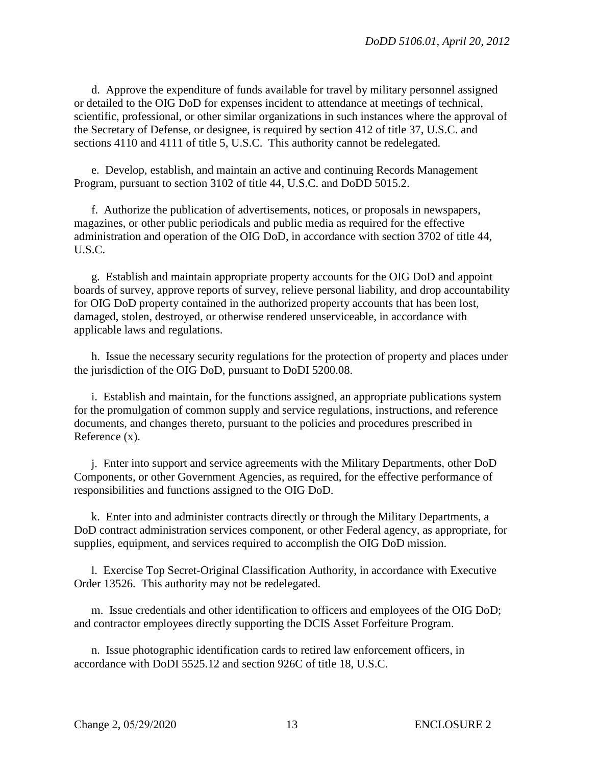d. Approve the expenditure of funds available for travel by military personnel assigned or detailed to the OIG DoD for expenses incident to attendance at meetings of technical, scientific, professional, or other similar organizations in such instances where the approval of the Secretary of Defense, or designee, is required by section 412 of title 37, U.S.C. and sections 4110 and 4111 of title 5, U.S.C. This authority cannot be redelegated.

e. Develop, establish, and maintain an active and continuing Records Management Program, pursuant to section 3102 of title 44, U.S.C. and DoDD 5015.2.

f. Authorize the publication of advertisements, notices, or proposals in newspapers, magazines, or other public periodicals and public media as required for the effective administration and operation of the OIG DoD, in accordance with section 3702 of title 44, U.S.C.

g. Establish and maintain appropriate property accounts for the OIG DoD and appoint boards of survey, approve reports of survey, relieve personal liability, and drop accountability for OIG DoD property contained in the authorized property accounts that has been lost, damaged, stolen, destroyed, or otherwise rendered unserviceable, in accordance with applicable laws and regulations.

h. Issue the necessary security regulations for the protection of property and places under the jurisdiction of the OIG DoD, pursuant to DoDI 5200.08.

i. Establish and maintain, for the functions assigned, an appropriate publications system for the promulgation of common supply and service regulations, instructions, and reference documents, and changes thereto, pursuant to the policies and procedures prescribed in Reference (x).

j. Enter into support and service agreements with the Military Departments, other DoD Components, or other Government Agencies, as required, for the effective performance of responsibilities and functions assigned to the OIG DoD.

k. Enter into and administer contracts directly or through the Military Departments, a DoD contract administration services component, or other Federal agency, as appropriate, for supplies, equipment, and services required to accomplish the OIG DoD mission.

l. Exercise Top Secret-Original Classification Authority, in accordance with Executive Order 13526. This authority may not be redelegated.

m. Issue credentials and other identification to officers and employees of the OIG DoD; and contractor employees directly supporting the DCIS Asset Forfeiture Program.

n. Issue photographic identification cards to retired law enforcement officers, in accordance with DoDI 5525.12 and section 926C of title 18, U.S.C.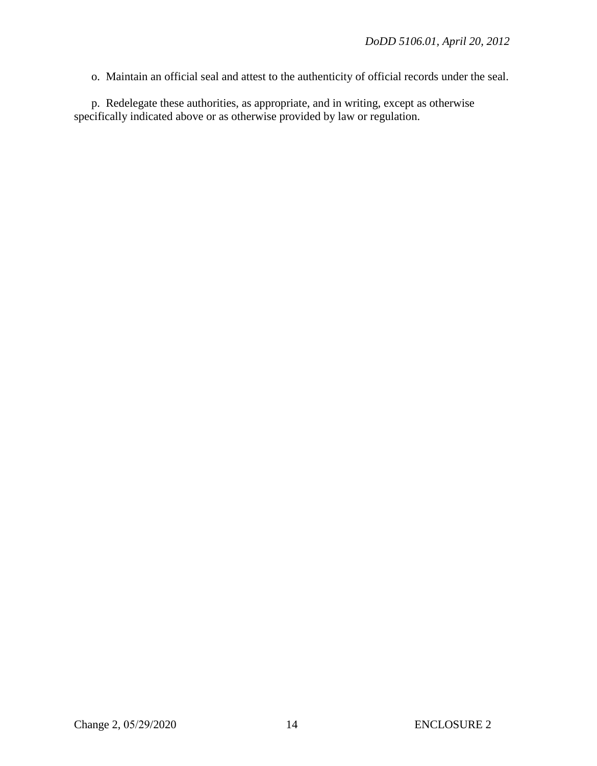o. Maintain an official seal and attest to the authenticity of official records under the seal.

p. Redelegate these authorities, as appropriate, and in writing, except as otherwise specifically indicated above or as otherwise provided by law or regulation.